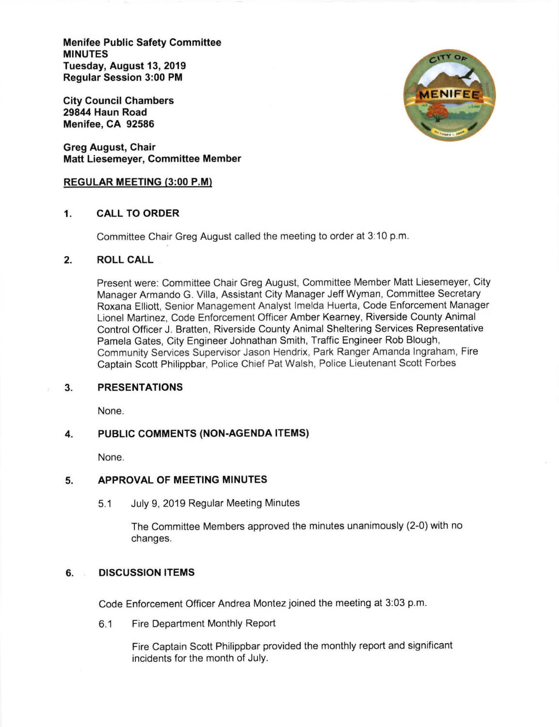Menifee Public Safety Committee MINUTES Tuesday, August 13, 2019 Regular Session 3:00 PM

City Council Chambers 29844 Haun Road Menifee, CA 92586

Greg August, Chair Matt Liesemeyer, Committee Member

### REGULAR MEETING (3:00 P.M)

# 1. CALL TO ORDER

Committee Chair Greg August called the meeting to order at 3:10 p.m.

# 2. ROLL CALL

Present were: Committee Chair Greg August, Committee Member Matt Liesemeyer, City Manager Armando G. Villa, Assistant City Manager Jeff Wyman, Committee Secretary Roxana Elliott, Senior Management Analyst lmelda Huerta, Code Enforcement Manager Lionel Martinez, Code Enforcement Officer Amber Kearney, Riverside County Animal Control Officer J. Bratten, Riverside County Animal Sheltering Services Representative Pamela Gates, City Engineer Johnathan Smith, Traffic Engineer Rob Blough, Community Services Supervisor Jason Hendrix, Park Ranger Amanda lngraham, Fire Captain Scott Philippbar, Police Chief Pat Walsh, Police Lieutenant Scott Forbes

#### PRESENTATIONS 3.

None.

#### PUBLIC COMMENTS (NON.AGENDA ITEMS) 4.

None.

#### APPROVAL OF MEETING MINUTES 5

5.1 July 9, 2019 Regular Meeting Minutes

The Committee Members approved the minutes unanimously (2-0) with no changes.

## 6, DISCUSSION ITEMS

Code Enforcement Officer Andrea Montez joined the meeting at 3:03 p.m.

6.1 Fire Department Monthly Report

Fire Captain Scott Philippbar provided the monthly report and significant incidents for the month of July.

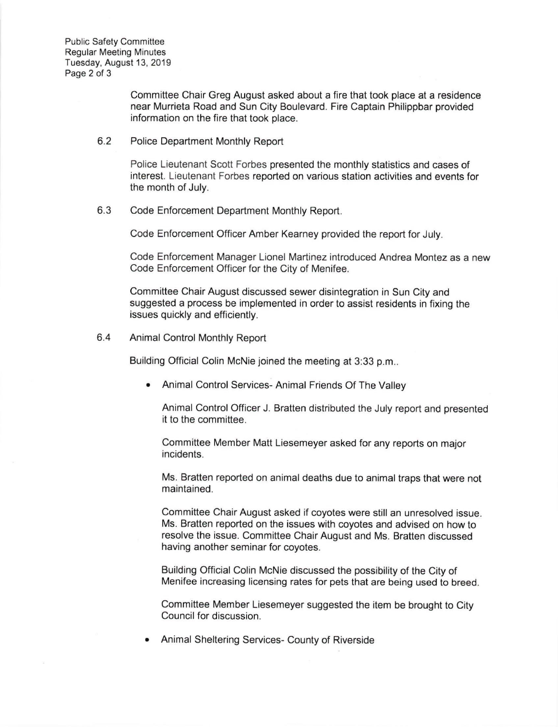Public Safety Committee Regular Meeting Minutes Tuesday, August 13, 2019 Page 2 of 3

> Committee Chair Greg August asked about a fire that took place at a residence near Murrieta Road and Sun City Boulevard. Fire Captain Philippbar provided information on the fire that took place.

6.2 Police Department Monthly Report

Police Lieutenant Scott Forbes presented the monthly statistics and cases of interest. Lieutenant Forbes reported on various station activities and events for the month of July.

6.3 Code Enforcement Oepartment Monthly Report

Code Enforcement Officer Amber Kearney provided the report for July.

Code Enforcement Manager Lionel Martinez introduced Andrea Montez as a new Code Enforcement Officer for the City of Menifee.

Committee Chair August discussed sewer disintegration in Sun City and suggested a process be implemented in order to assist residents in fixing the issues quickly and efficiently.

6.4 Animal Control Monthly Report

Building Official Colin McNie joined the meeting at 3:33 p.m

Animal Control Services- Animal Friends Of The Valley

Animal Control Officer J. Bratten distributed the July report and presented it to the committee.

Committee Member Matt Liesemeyer asked for any reports on major incidents.

Ms. Bratten reported on animal deaths due to animal traps that were not maintained.

Committee Chair August asked if coyotes were still an unresolved issue. Ms. Bratten reported on the issues with coyotes and advised on how to resolve the issue. Committee Chair August and Ms. Bratten discussed having another seminar for coyotes.

Building Official Colin McNie discussed the possibility of the City of Menifee increasing licensing rates for pets that are being used to breed-

Committee Member Liesemeyer suggested the item be brought to City Council for discussion.

Animal Sheltering Services- County of Riverside